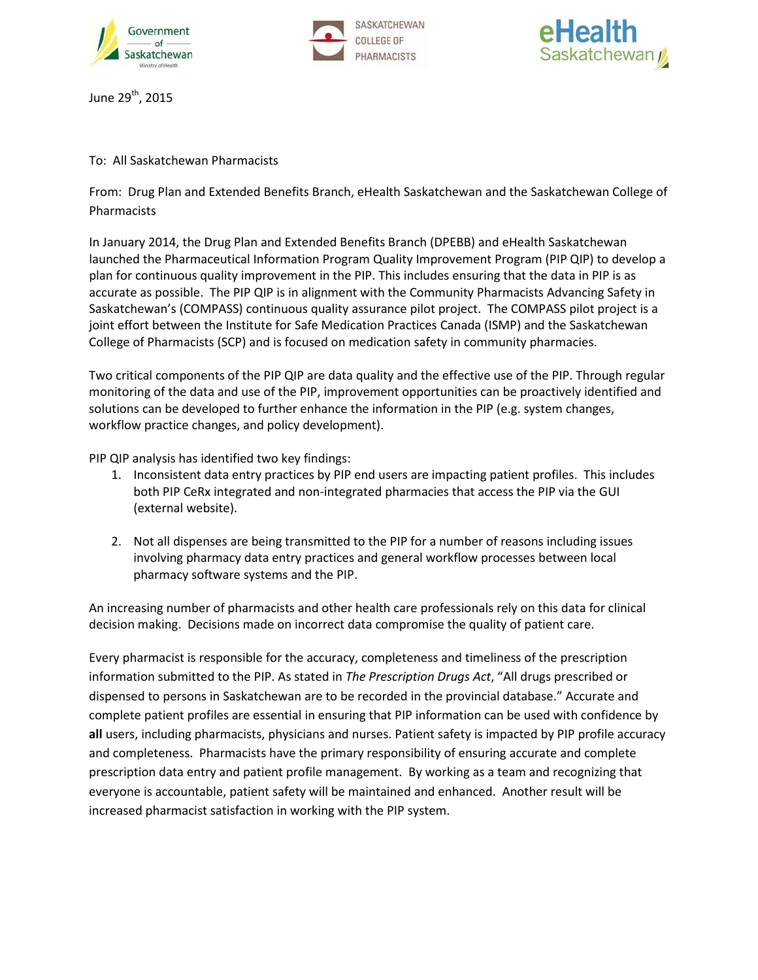





June 29<sup>th</sup>, 2015

To: All Saskatchewan Pharmacists

From: Drug Plan and Extended Benefits Branch, eHealth Saskatchewan and the Saskatchewan College of Pharmacists

In January 2014, the Drug Plan and Extended Benefits Branch (DPEBB) and eHealth Saskatchewan launched the Pharmaceutical Information Program Quality Improvement Program (PIP QIP) to develop a plan for continuous quality improvement in the PIP. This includes ensuring that the data in PIP is as accurate as possible. The PIP QIP is in alignment with the Community Pharmacists Advancing Safety in Saskatchewan's (COMPASS) continuous quality assurance pilot project. The COMPASS pilot project is a joint effort between the Institute for Safe Medication Practices Canada (ISMP) and the Saskatchewan College of Pharmacists (SCP) and is focused on medication safety in community pharmacies.

Two critical components of the PIP QIP are data quality and the effective use of the PIP. Through regular monitoring of the data and use of the PIP, improvement opportunities can be proactively identified and solutions can be developed to further enhance the information in the PIP (e.g. system changes, workflow practice changes, and policy development).

PIP QIP analysis has identified two key findings:

- 1. Inconsistent data entry practices by PIP end users are impacting patient profiles. This includes both PIP CeRx integrated and non-integrated pharmacies that access the PIP via the GUI (external website).
- 2. Not all dispenses are being transmitted to the PIP for a number of reasons including issues involving pharmacy data entry practices and general workflow processes between local pharmacy software systems and the PIP.

An increasing number of pharmacists and other health care professionals rely on this data for clinical decision making. Decisions made on incorrect data compromise the quality of patient care.

Every pharmacist is responsible for the accuracy, completeness and timeliness of the prescription information submitted to the PIP. As stated in *The Prescription Drugs Act*, "All drugs prescribed or dispensed to persons in Saskatchewan are to be recorded in the provincial database." Accurate and complete patient profiles are essential in ensuring that PIP information can be used with confidence by **all** users, including pharmacists, physicians and nurses. Patient safety is impacted by PIP profile accuracy and completeness. Pharmacists have the primary responsibility of ensuring accurate and complete prescription data entry and patient profile management. By working as a team and recognizing that everyone is accountable, patient safety will be maintained and enhanced. Another result will be increased pharmacist satisfaction in working with the PIP system.